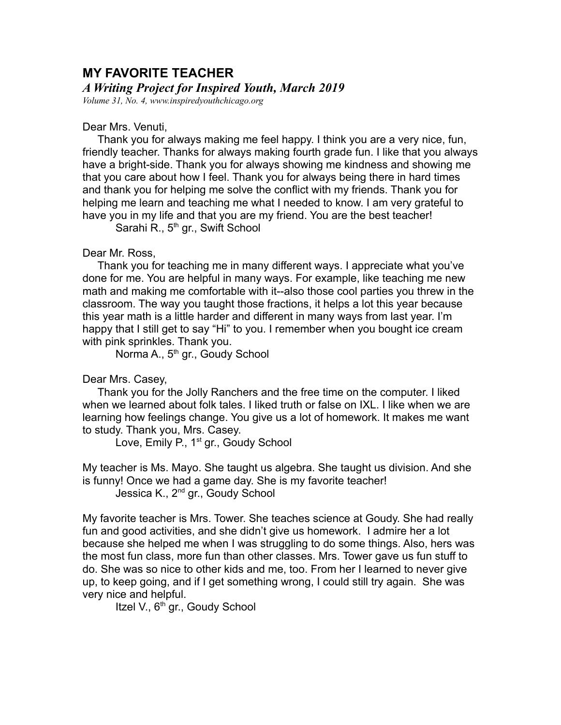## **MY FAVORITE TEACHER**

## *A Writing Project for Inspired Youth, March 2019*

*Volume 31, No. 4, www.inspiredyouthchicago.org*

## Dear Mrs. Venuti,

 Thank you for always making me feel happy. I think you are a very nice, fun, friendly teacher. Thanks for always making fourth grade fun. I like that you always have a bright-side. Thank you for always showing me kindness and showing me that you care about how I feel. Thank you for always being there in hard times and thank you for helping me solve the conflict with my friends. Thank you for helping me learn and teaching me what I needed to know. I am very grateful to have you in my life and that you are my friend. You are the best teacher!

Sarahi R., 5<sup>th</sup> gr., Swift School

## Dear Mr. Ross,

 Thank you for teaching me in many different ways. I appreciate what you've done for me. You are helpful in many ways. For example, like teaching me new math and making me comfortable with it--also those cool parties you threw in the classroom. The way you taught those fractions, it helps a lot this year because this year math is a little harder and different in many ways from last year. I'm happy that I still get to say "Hi" to you. I remember when you bought ice cream with pink sprinkles. Thank you.

Norma A., 5<sup>th</sup> gr., Goudy School

Dear Mrs. Casey,

 Thank you for the Jolly Ranchers and the free time on the computer. I liked when we learned about folk tales. I liked truth or false on IXL. I like when we are learning how feelings change. You give us a lot of homework. It makes me want to study. Thank you, Mrs. Casey.

Love, Emily P., 1<sup>st</sup> gr., Goudy School

My teacher is Ms. Mayo. She taught us algebra. She taught us division. And she is funny! Once we had a game day. She is my favorite teacher!

Jessica K., 2<sup>nd</sup> gr., Goudy School

My favorite teacher is Mrs. Tower. She teaches science at Goudy. She had really fun and good activities, and she didn't give us homework. I admire her a lot because she helped me when I was struggling to do some things. Also, hers was the most fun class, more fun than other classes. Mrs. Tower gave us fun stuff to do. She was so nice to other kids and me, too. From her I learned to never give up, to keep going, and if I get something wrong, I could still try again. She was very nice and helpful.

Itzel V., 6<sup>th</sup> gr., Goudy School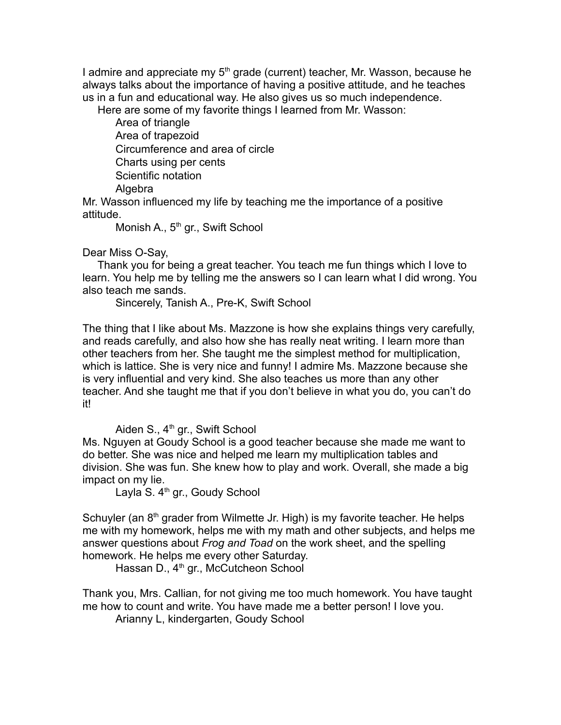I admire and appreciate my 5<sup>th</sup> grade (current) teacher, Mr. Wasson, because he always talks about the importance of having a positive attitude, and he teaches us in a fun and educational way. He also gives us so much independence.

Here are some of my favorite things I learned from Mr. Wasson:

Area of triangle Area of trapezoid Circumference and area of circle Charts using per cents Scientific notation Algebra

Mr. Wasson influenced my life by teaching me the importance of a positive attitude.

Monish A., 5<sup>th</sup> gr., Swift School

Dear Miss O-Say,

 Thank you for being a great teacher. You teach me fun things which I love to learn. You help me by telling me the answers so I can learn what I did wrong. You also teach me sands.

Sincerely, Tanish A., Pre-K, Swift School

The thing that I like about Ms. Mazzone is how she explains things very carefully, and reads carefully, and also how she has really neat writing. I learn more than other teachers from her. She taught me the simplest method for multiplication, which is lattice. She is very nice and funny! I admire Ms. Mazzone because she is very influential and very kind. She also teaches us more than any other teacher. And she taught me that if you don't believe in what you do, you can't do it!

Aiden S.,  $4<sup>th</sup>$  gr., Swift School

Ms. Nguyen at Goudy School is a good teacher because she made me want to do better. She was nice and helped me learn my multiplication tables and division. She was fun. She knew how to play and work. Overall, she made a big impact on my lie.

Layla S. 4<sup>th</sup> gr., Goudy School

Schuyler (an  $8<sup>th</sup>$  grader from Wilmette Jr. High) is my favorite teacher. He helps me with my homework, helps me with my math and other subjects, and helps me answer questions about *Frog and Toad* on the work sheet, and the spelling homework. He helps me every other Saturday.

Hassan D.,  $4<sup>th</sup>$  gr., McCutcheon School

Thank you, Mrs. Callian, for not giving me too much homework. You have taught me how to count and write. You have made me a better person! I love you.

Arianny L, kindergarten, Goudy School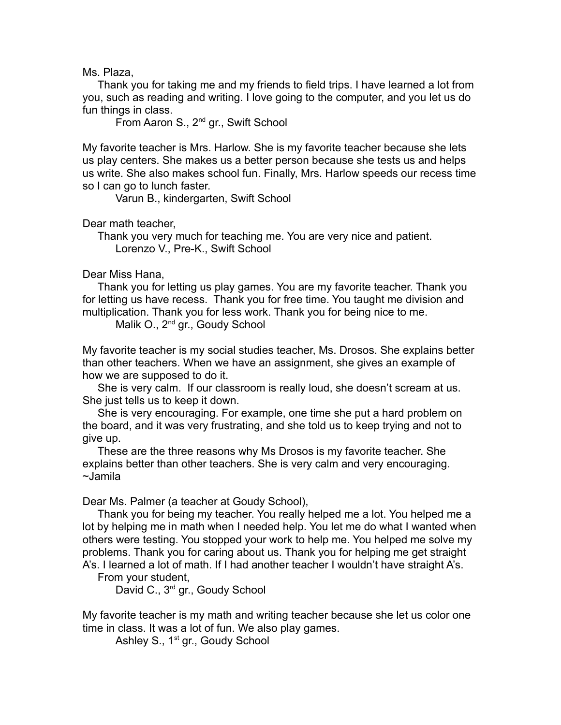Ms. Plaza,

 Thank you for taking me and my friends to field trips. I have learned a lot from you, such as reading and writing. I love going to the computer, and you let us do fun things in class.

From Aaron S., 2nd gr., Swift School

My favorite teacher is Mrs. Harlow. She is my favorite teacher because she lets us play centers. She makes us a better person because she tests us and helps us write. She also makes school fun. Finally, Mrs. Harlow speeds our recess time so I can go to lunch faster.

Varun B., kindergarten, Swift School

Dear math teacher,

 Thank you very much for teaching me. You are very nice and patient. Lorenzo V., Pre-K., Swift School

Dear Miss Hana,

 Thank you for letting us play games. You are my favorite teacher. Thank you for letting us have recess. Thank you for free time. You taught me division and multiplication. Thank you for less work. Thank you for being nice to me.

Malik O., 2<sup>nd</sup> gr., Goudy School

My favorite teacher is my social studies teacher, Ms. Drosos. She explains better than other teachers. When we have an assignment, she gives an example of how we are supposed to do it.

 She is very calm. If our classroom is really loud, she doesn't scream at us. She just tells us to keep it down.

 She is very encouraging. For example, one time she put a hard problem on the board, and it was very frustrating, and she told us to keep trying and not to give up.

 These are the three reasons why Ms Drosos is my favorite teacher. She explains better than other teachers. She is very calm and very encouraging. ~Jamila

Dear Ms. Palmer (a teacher at Goudy School),

 Thank you for being my teacher. You really helped me a lot. You helped me a lot by helping me in math when I needed help. You let me do what I wanted when others were testing. You stopped your work to help me. You helped me solve my problems. Thank you for caring about us. Thank you for helping me get straight A's. I learned a lot of math. If I had another teacher I wouldn't have straight A's.

From your student,

David C., 3<sup>rd</sup> gr., Goudy School

My favorite teacher is my math and writing teacher because she let us color one time in class. It was a lot of fun. We also play games.

Ashley S., 1<sup>st</sup> gr., Goudy School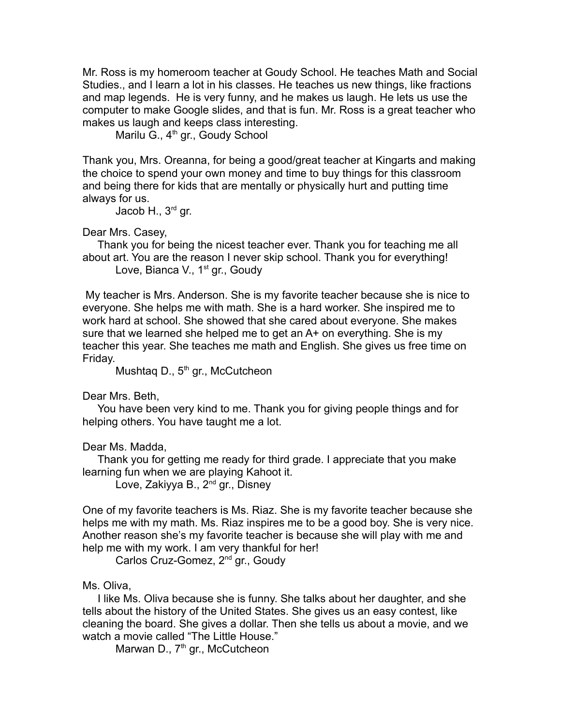Mr. Ross is my homeroom teacher at Goudy School. He teaches Math and Social Studies., and I learn a lot in his classes. He teaches us new things, like fractions and map legends. He is very funny, and he makes us laugh. He lets us use the computer to make Google slides, and that is fun. Mr. Ross is a great teacher who makes us laugh and keeps class interesting.

Marilu G., 4<sup>th</sup> gr., Goudy School

Thank you, Mrs. Oreanna, for being a good/great teacher at Kingarts and making the choice to spend your own money and time to buy things for this classroom and being there for kids that are mentally or physically hurt and putting time always for us.

Jacob H., 3<sup>rd</sup> gr.

Dear Mrs. Casey,

 Thank you for being the nicest teacher ever. Thank you for teaching me all about art. You are the reason I never skip school. Thank you for everything! Love, Bianca V., 1<sup>st</sup> gr., Goudy

 My teacher is Mrs. Anderson. She is my favorite teacher because she is nice to everyone. She helps me with math. She is a hard worker. She inspired me to work hard at school. She showed that she cared about everyone. She makes sure that we learned she helped me to get an A+ on everything. She is my teacher this year. She teaches me math and English. She gives us free time on Friday.

Mushtaq D., 5<sup>th</sup> gr., McCutcheon

Dear Mrs. Beth,

 You have been very kind to me. Thank you for giving people things and for helping others. You have taught me a lot.

Dear Ms. Madda,

 Thank you for getting me ready for third grade. I appreciate that you make learning fun when we are playing Kahoot it.

Love, Zakiyya B., 2<sup>nd</sup> gr., Disney

One of my favorite teachers is Ms. Riaz. She is my favorite teacher because she helps me with my math. Ms. Riaz inspires me to be a good boy. She is very nice. Another reason she's my favorite teacher is because she will play with me and help me with my work. I am very thankful for her!

Carlos Cruz-Gomez, 2nd gr., Goudy

Ms. Oliva,

 I like Ms. Oliva because she is funny. She talks about her daughter, and she tells about the history of the United States. She gives us an easy contest, like cleaning the board. She gives a dollar. Then she tells us about a movie, and we watch a movie called "The Little House."

Marwan D.,  $7<sup>th</sup>$  gr., McCutcheon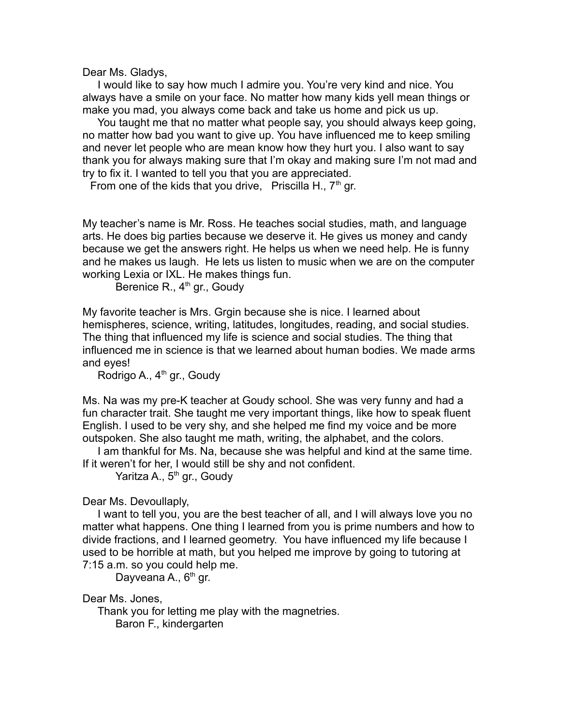Dear Ms. Gladys,

 I would like to say how much I admire you. You're very kind and nice. You always have a smile on your face. No matter how many kids yell mean things or make you mad, you always come back and take us home and pick us up.

 You taught me that no matter what people say, you should always keep going, no matter how bad you want to give up. You have influenced me to keep smiling and never let people who are mean know how they hurt you. I also want to say thank you for always making sure that I'm okay and making sure I'm not mad and try to fix it. I wanted to tell you that you are appreciated.

From one of the kids that you drive, Priscilla H.,  $7<sup>th</sup>$  gr.

My teacher's name is Mr. Ross. He teaches social studies, math, and language arts. He does big parties because we deserve it. He gives us money and candy because we get the answers right. He helps us when we need help. He is funny and he makes us laugh. He lets us listen to music when we are on the computer working Lexia or IXL. He makes things fun.

Berenice R.,  $4<sup>th</sup>$  gr., Goudy

My favorite teacher is Mrs. Grgin because she is nice. I learned about hemispheres, science, writing, latitudes, longitudes, reading, and social studies. The thing that influenced my life is science and social studies. The thing that influenced me in science is that we learned about human bodies. We made arms and eyes!

Rodrigo A.,  $4<sup>th</sup>$  gr., Goudy

Ms. Na was my pre-K teacher at Goudy school. She was very funny and had a fun character trait. She taught me very important things, like how to speak fluent English. I used to be very shy, and she helped me find my voice and be more outspoken. She also taught me math, writing, the alphabet, and the colors.

 I am thankful for Ms. Na, because she was helpful and kind at the same time. If it weren't for her, I would still be shy and not confident.

Yaritza A., 5<sup>th</sup> gr., Goudy

Dear Ms. Devoullaply,

 I want to tell you, you are the best teacher of all, and I will always love you no matter what happens. One thing I learned from you is prime numbers and how to divide fractions, and I learned geometry. You have influenced my life because I used to be horrible at math, but you helped me improve by going to tutoring at 7:15 a.m. so you could help me.

Dayveana A., 6<sup>th</sup> gr.

Dear Ms. Jones,

 Thank you for letting me play with the magnetries. Baron F., kindergarten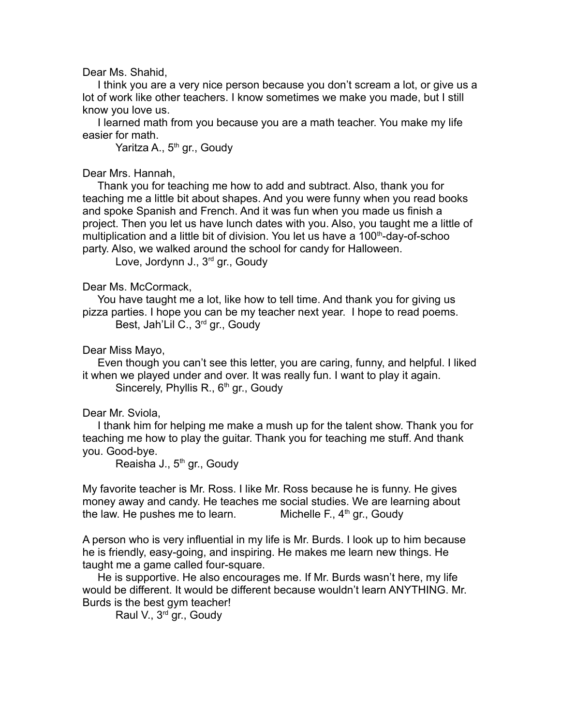Dear Ms. Shahid,

 I think you are a very nice person because you don't scream a lot, or give us a lot of work like other teachers. I know sometimes we make you made, but I still know you love us.

 I learned math from you because you are a math teacher. You make my life easier for math.

Yaritza A., 5<sup>th</sup> gr., Goudy

Dear Mrs. Hannah,

 Thank you for teaching me how to add and subtract. Also, thank you for teaching me a little bit about shapes. And you were funny when you read books and spoke Spanish and French. And it was fun when you made us finish a project. Then you let us have lunch dates with you. Also, you taught me a little of multiplication and a little bit of division. You let us have a  $100<sup>th</sup>$ -day-of-schoo party. Also, we walked around the school for candy for Halloween.

Love, Jordynn J., 3<sup>rd</sup> gr., Goudy

Dear Ms. McCormack,

 You have taught me a lot, like how to tell time. And thank you for giving us pizza parties. I hope you can be my teacher next year. I hope to read poems. Best, Jah'Lil C., 3rd gr., Goudy

Dear Miss Mayo,

 Even though you can't see this letter, you are caring, funny, and helpful. I liked it when we played under and over. It was really fun. I want to play it again. Sincerely, Phyllis R.,  $6<sup>th</sup>$  gr., Goudy

Dear Mr. Sviola,

 I thank him for helping me make a mush up for the talent show. Thank you for teaching me how to play the guitar. Thank you for teaching me stuff. And thank you. Good-bye.

Reaisha J., 5<sup>th</sup> gr., Goudy

My favorite teacher is Mr. Ross. I like Mr. Ross because he is funny. He gives money away and candy. He teaches me social studies. We are learning about the law. He pushes me to learn. Michelle F.,  $4<sup>th</sup>$  gr., Goudy

A person who is very influential in my life is Mr. Burds. I look up to him because he is friendly, easy-going, and inspiring. He makes me learn new things. He taught me a game called four-square.

 He is supportive. He also encourages me. If Mr. Burds wasn't here, my life would be different. It would be different because wouldn't learn ANYTHING. Mr. Burds is the best gym teacher!

Raul V., 3rd gr., Goudy